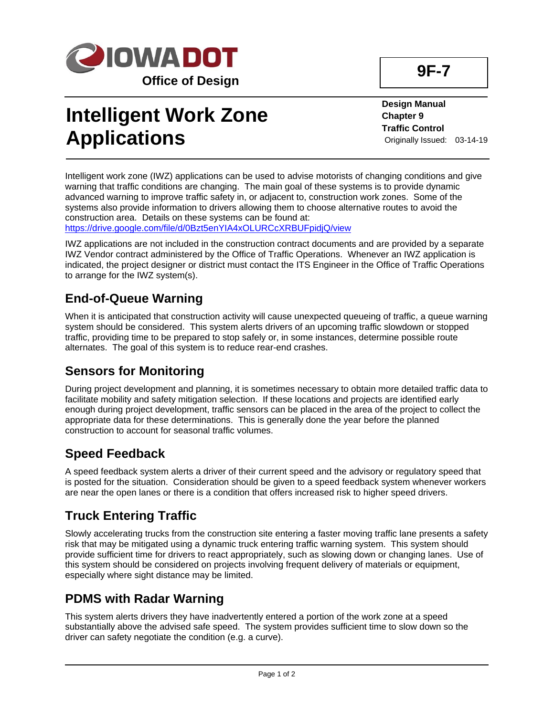

# **Intelligent Work Zone Applications**

**Design Manual Chapter 9 Traffic Control** Originally Issued: 03-14-19

Intelligent work zone (IWZ) applications can be used to advise motorists of changing conditions and give warning that traffic conditions are changing. The main goal of these systems is to provide dynamic advanced warning to improve traffic safety in, or adjacent to, construction work zones. Some of the systems also provide information to drivers allowing them to choose alternative routes to avoid the construction area. Details on these systems can be found at: <https://drive.google.com/file/d/0Bzt5enYIA4xOLURCcXRBUFpidjQ/view>

IWZ applications are not included in the construction contract documents and are provided by a separate IWZ Vendor contract administered by the Office of Traffic Operations. Whenever an IWZ application is indicated, the project designer or district must contact the ITS Engineer in the Office of Traffic Operations to arrange for the IWZ system(s).

# **End-of-Queue Warning**

When it is anticipated that construction activity will cause unexpected queueing of traffic, a queue warning system should be considered. This system alerts drivers of an upcoming traffic slowdown or stopped traffic, providing time to be prepared to stop safely or, in some instances, determine possible route alternates. The goal of this system is to reduce rear-end crashes.

#### **Sensors for Monitoring**

During project development and planning, it is sometimes necessary to obtain more detailed traffic data to facilitate mobility and safety mitigation selection. If these locations and projects are identified early enough during project development, traffic sensors can be placed in the area of the project to collect the appropriate data for these determinations. This is generally done the year before the planned construction to account for seasonal traffic volumes.

#### **Speed Feedback**

A speed feedback system alerts a driver of their current speed and the advisory or regulatory speed that is posted for the situation. Consideration should be given to a speed feedback system whenever workers are near the open lanes or there is a condition that offers increased risk to higher speed drivers.

# **Truck Entering Traffic**

Slowly accelerating trucks from the construction site entering a faster moving traffic lane presents a safety risk that may be mitigated using a dynamic truck entering traffic warning system. This system should provide sufficient time for drivers to react appropriately, such as slowing down or changing lanes. Use of this system should be considered on projects involving frequent delivery of materials or equipment, especially where sight distance may be limited.

#### **PDMS with Radar Warning**

This system alerts drivers they have inadvertently entered a portion of the work zone at a speed substantially above the advised safe speed. The system provides sufficient time to slow down so the driver can safety negotiate the condition (e.g. a curve).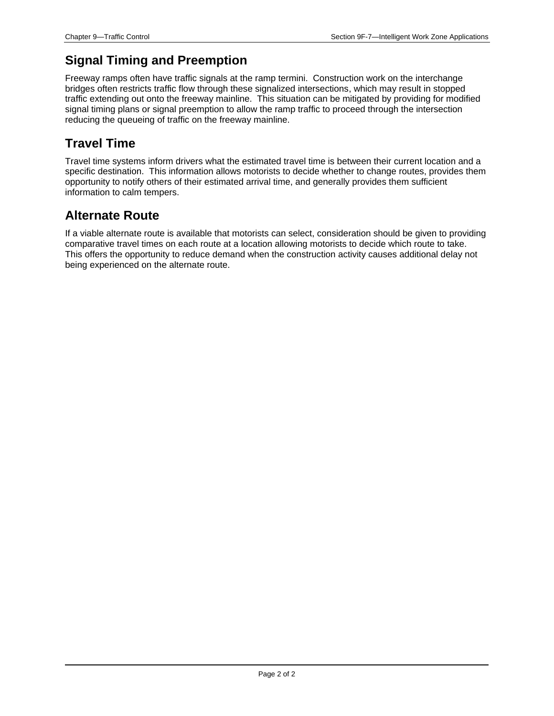### **Signal Timing and Preemption**

Freeway ramps often have traffic signals at the ramp termini. Construction work on the interchange bridges often restricts traffic flow through these signalized intersections, which may result in stopped traffic extending out onto the freeway mainline. This situation can be mitigated by providing for modified signal timing plans or signal preemption to allow the ramp traffic to proceed through the intersection reducing the queueing of traffic on the freeway mainline.

# **Travel Time**

Travel time systems inform drivers what the estimated travel time is between their current location and a specific destination. This information allows motorists to decide whether to change routes, provides them opportunity to notify others of their estimated arrival time, and generally provides them sufficient information to calm tempers.

#### **Alternate Route**

If a viable alternate route is available that motorists can select, consideration should be given to providing comparative travel times on each route at a location allowing motorists to decide which route to take. This offers the opportunity to reduce demand when the construction activity causes additional delay not being experienced on the alternate route.